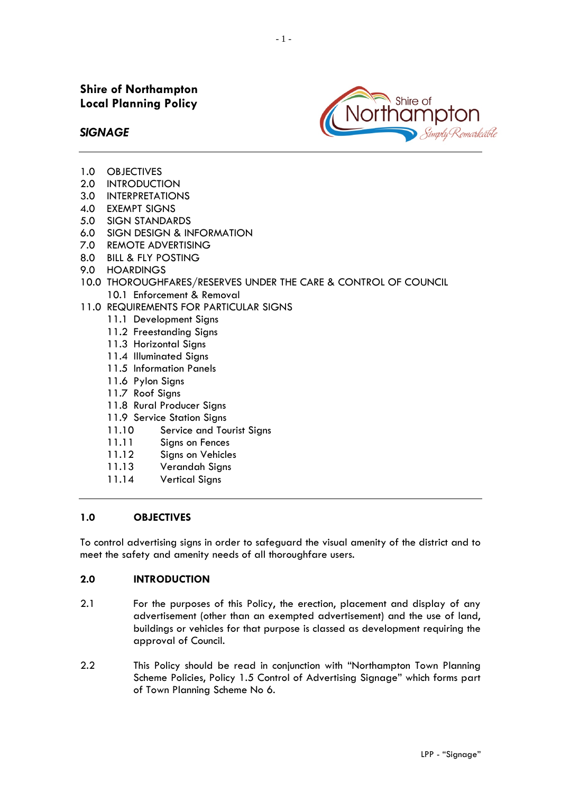

- *SIGNAGE*
- 1.0 OBJECTIVES
- **INTRODUCTION**
- 3.0 INTERPRETATIONS
- 4.0 EXEMPT SIGNS
- 5.0 SIGN STANDARDS
- 6.0 SIGN DESIGN & INFORMATION
- 7.0 REMOTE ADVERTISING
- 8.0 BILL & FLY POSTING
- 9.0 HOARDINGS
- 10.0 THOROUGHFARES/RESERVES UNDER THE CARE & CONTROL OF COUNCIL 10.1 Enforcement & Removal
- 11.0 REQUIREMENTS FOR PARTICULAR SIGNS
	- 11.1 Development Signs
	- 11.2 Freestanding Signs
	- 11.3 Horizontal Signs
	- 11.4 Illuminated Signs
	- 11.5 Information Panels
	- 11.6 Pylon Signs
	- 11.7 Roof Signs
	- 11.8 Rural Producer Signs
	- 11.9 Service Station Signs
	- 11.10 Service and Tourist Signs
	- 11.11 Signs on Fences
	- 11.12 Signs on Vehicles
	- 11.13 Verandah Signs
	- 11.14 Vertical Signs

## **1.0 OBJECTIVES**

To control advertising signs in order to safeguard the visual amenity of the district and to meet the safety and amenity needs of all thoroughfare users.

#### **2.0 INTRODUCTION**

- 2.1 For the purposes of this Policy, the erection, placement and display of any advertisement (other than an exempted advertisement) and the use of land, buildings or vehicles for that purpose is classed as development requiring the approval of Council.
- 2.2 This Policy should be read in conjunction with "Northampton Town Planning Scheme Policies, Policy 1.5 Control of Advertising Signage" which forms part of Town Planning Scheme No 6.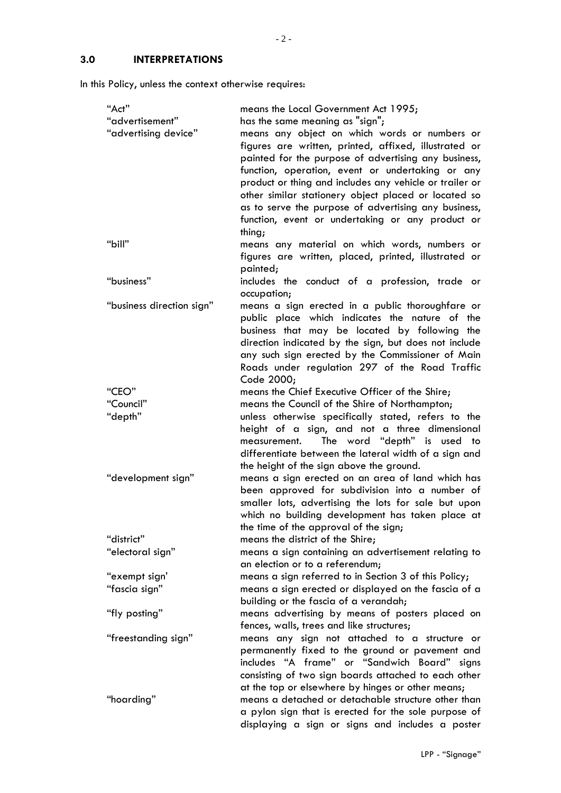# **3.0 INTERPRETATIONS**

In this Policy, unless the context otherwise requires:

| "Act"                     | means the Local Government Act 1995;                                                                     |  |  |
|---------------------------|----------------------------------------------------------------------------------------------------------|--|--|
| "advertisement"           | has the same meaning as "sign";                                                                          |  |  |
| "advertising device"      | means any object on which words or numbers or                                                            |  |  |
|                           | figures are written, printed, affixed, illustrated or                                                    |  |  |
|                           | painted for the purpose of advertising any business,                                                     |  |  |
|                           | function, operation, event or undertaking or any                                                         |  |  |
|                           | product or thing and includes any vehicle or trailer or                                                  |  |  |
|                           | other similar stationery object placed or located so                                                     |  |  |
|                           | as to serve the purpose of advertising any business,                                                     |  |  |
|                           | function, event or undertaking or any product or                                                         |  |  |
|                           | thing;                                                                                                   |  |  |
| "bill"                    | means any material on which words, numbers or                                                            |  |  |
|                           | figures are written, placed, printed, illustrated or                                                     |  |  |
|                           | painted;                                                                                                 |  |  |
| "business"                | includes the conduct of a profession, trade or                                                           |  |  |
|                           | occupation;                                                                                              |  |  |
| "business direction sign" | means a sign erected in a public thoroughfare or                                                         |  |  |
|                           | public place which indicates the nature of the                                                           |  |  |
|                           | business that may be located by following the                                                            |  |  |
|                           | direction indicated by the sign, but does not include                                                    |  |  |
|                           | any such sign erected by the Commissioner of Main                                                        |  |  |
|                           | Roads under regulation 297 of the Road Traffic                                                           |  |  |
| "CEO"                     | Code 2000;<br>means the Chief Executive Officer of the Shire;                                            |  |  |
| "Council"                 | means the Council of the Shire of Northampton;                                                           |  |  |
| "depth"                   | unless otherwise specifically stated, refers to the                                                      |  |  |
|                           | height of a sign, and not a three dimensional                                                            |  |  |
|                           | The word "depth" is used to<br>measurement.                                                              |  |  |
|                           | differentiate between the lateral width of a sign and                                                    |  |  |
|                           | the height of the sign above the ground.                                                                 |  |  |
| "development sign"        | means a sign erected on an area of land which has                                                        |  |  |
|                           | been approved for subdivision into a number of                                                           |  |  |
|                           | smaller lots, advertising the lots for sale but upon                                                     |  |  |
|                           | which no building development has taken place at                                                         |  |  |
|                           | the time of the approval of the sign;                                                                    |  |  |
| "district"                | means the district of the Shire;                                                                         |  |  |
| "electoral sign"          | means a sign containing an advertisement relating to                                                     |  |  |
|                           | an election or to a referendum;                                                                          |  |  |
| "exempt sign'             | means a sign referred to in Section 3 of this Policy;                                                    |  |  |
| "fascia sign"             | means a sign erected or displayed on the fascia of a                                                     |  |  |
|                           | building or the fascia of a verandah;                                                                    |  |  |
| "fly posting"             | means advertising by means of posters placed on                                                          |  |  |
|                           | fences, walls, trees and like structures;                                                                |  |  |
| "freestanding sign"       | means any sign not attached to a structure or                                                            |  |  |
|                           | permanently fixed to the ground or pavement and                                                          |  |  |
|                           | includes "A frame" or "Sandwich Board" signs                                                             |  |  |
|                           | consisting of two sign boards attached to each other                                                     |  |  |
|                           | at the top or elsewhere by hinges or other means;                                                        |  |  |
| "hoarding"                | means a detached or detachable structure other than                                                      |  |  |
|                           | a pylon sign that is erected for the sole purpose of<br>displaying a sign or signs and includes a poster |  |  |
|                           |                                                                                                          |  |  |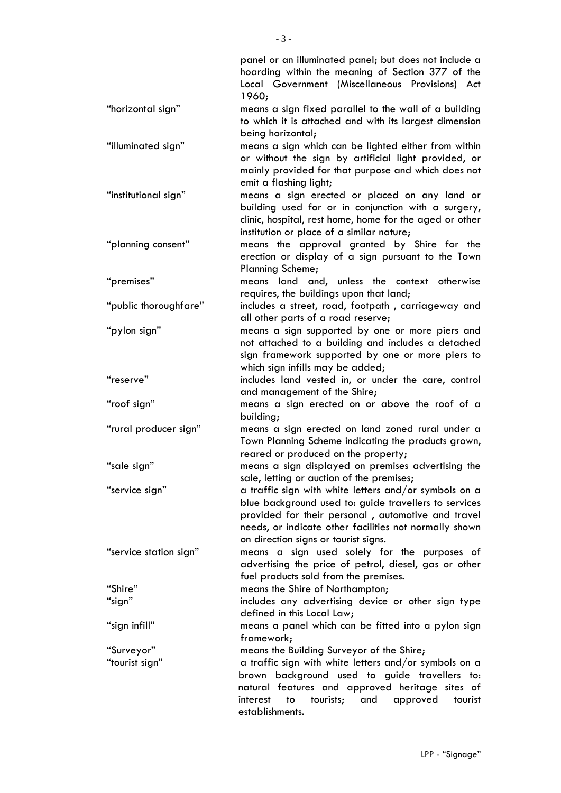|                        | panel or an illuminated panel; but does not include a<br>hoarding within the meaning of Section 377 of the<br>Local Government (Miscellaneous Provisions) Act<br>1960;                                                                                                 |  |
|------------------------|------------------------------------------------------------------------------------------------------------------------------------------------------------------------------------------------------------------------------------------------------------------------|--|
| "horizontal sign"      | means a sign fixed parallel to the wall of a building<br>to which it is attached and with its largest dimension<br>being horizontal;                                                                                                                                   |  |
| "illuminated sign"     | means a sign which can be lighted either from within<br>or without the sign by artificial light provided, or<br>mainly provided for that purpose and which does not                                                                                                    |  |
| "institutional sign"   | emit a flashing light;<br>means a sign erected or placed on any land or<br>building used for or in conjunction with a surgery,<br>clinic, hospital, rest home, home for the aged or other<br>institution or place of a similar nature;                                 |  |
| "planning consent"     | means the approval granted by Shire for the<br>erection or display of a sign pursuant to the Town<br>Planning Scheme;                                                                                                                                                  |  |
| "premises"             | means land and, unless the context otherwise<br>requires, the buildings upon that land;                                                                                                                                                                                |  |
| "public thoroughfare"  | includes a street, road, footpath, carriageway and<br>all other parts of a road reserve;                                                                                                                                                                               |  |
| "pylon sign"           | means a sign supported by one or more piers and<br>not attached to a building and includes a detached<br>sign framework supported by one or more piers to<br>which sign infills may be added;                                                                          |  |
| "reserve"              | includes land vested in, or under the care, control<br>and management of the Shire;                                                                                                                                                                                    |  |
| "roof sign"            | means a sign erected on or above the roof of a<br>building;                                                                                                                                                                                                            |  |
| "rural producer sign"  | means a sign erected on land zoned rural under a<br>Town Planning Scheme indicating the products grown,<br>reared or produced on the property;                                                                                                                         |  |
| "sale sign"            | means a sign displayed on premises advertising the<br>sale, letting or auction of the premises;                                                                                                                                                                        |  |
| "service sign"         | a traffic sign with white letters and/or symbols on a<br>blue background used to: guide travellers to services<br>provided for their personal, automotive and travel<br>needs, or indicate other facilities not normally shown<br>on direction signs or tourist signs. |  |
| "service station sign" | means a sign used solely for the purposes of<br>advertising the price of petrol, diesel, gas or other<br>fuel products sold from the premises.                                                                                                                         |  |
| "Shire"                | means the Shire of Northampton;                                                                                                                                                                                                                                        |  |
| "sign"                 | includes any advertising device or other sign type<br>defined in this Local Law;                                                                                                                                                                                       |  |
| "sign infill"          | means a panel which can be fitted into a pylon sign<br>framework;                                                                                                                                                                                                      |  |
| "Surveyor"             | means the Building Surveyor of the Shire;                                                                                                                                                                                                                              |  |
| "tourist sign"         | a traffic sign with white letters and/or symbols on a<br>brown background used to guide travellers to:<br>natural features and approved heritage sites of<br>tourists;<br>and<br>approved<br>interest<br>tourist<br>to<br>establishments.                              |  |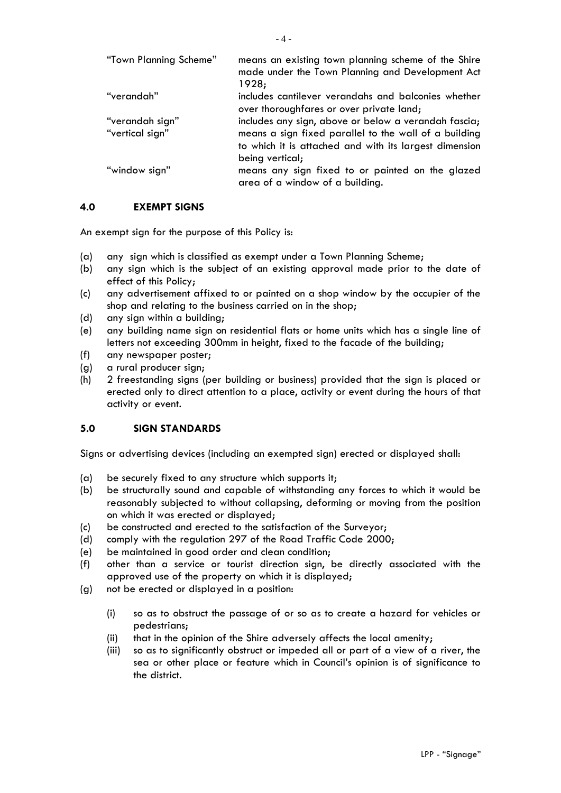| "Town Planning Scheme" | means an existing town planning scheme of the Shire                                 |
|------------------------|-------------------------------------------------------------------------------------|
|                        | made under the Town Planning and Development Act                                    |
|                        | 1928;                                                                               |
| "verandah"             | includes cantilever verandahs and balconies whether                                 |
|                        | over thoroughfares or over private land;                                            |
| "verandah sign"        | includes any sign, above or below a verandah fascia;                                |
| "vertical sign"        | means a sign fixed parallel to the wall of a building                               |
|                        | to which it is attached and with its largest dimension                              |
|                        | being vertical;                                                                     |
| "window sign"          | means any sign fixed to or painted on the glazed<br>area of a window of a building. |

## **4.0 EXEMPT SIGNS**

An exempt sign for the purpose of this Policy is:

- (a) any sign which is classified as exempt under a Town Planning Scheme;
- (b) any sign which is the subject of an existing approval made prior to the date of effect of this Policy;
- (c) any advertisement affixed to or painted on a shop window by the occupier of the shop and relating to the business carried on in the shop;
- (d) any sign within a building;
- (e) any building name sign on residential flats or home units which has a single line of letters not exceeding 300mm in height, fixed to the facade of the building;
- (f) any newspaper poster;
- (g) a rural producer sign;
- (h) 2 freestanding signs (per building or business) provided that the sign is placed or erected only to direct attention to a place, activity or event during the hours of that activity or event.

#### **5.0 SIGN STANDARDS**

Signs or advertising devices (including an exempted sign) erected or displayed shall:

- (a) be securely fixed to any structure which supports it;
- (b) be structurally sound and capable of withstanding any forces to which it would be reasonably subjected to without collapsing, deforming or moving from the position on which it was erected or displayed;
- (c) be constructed and erected to the satisfaction of the Surveyor;
- (d) comply with the regulation 297 of the Road Traffic Code 2000;
- (e) be maintained in good order and clean condition;
- (f) other than a service or tourist direction sign, be directly associated with the approved use of the property on which it is displayed;
- (g) not be erected or displayed in a position:
	- (i) so as to obstruct the passage of or so as to create a hazard for vehicles or pedestrians;
	- (ii) that in the opinion of the Shire adversely affects the local amenity;
	- (iii) so as to significantly obstruct or impeded all or part of a view of a river, the sea or other place or feature which in Council's opinion is of significance to the district.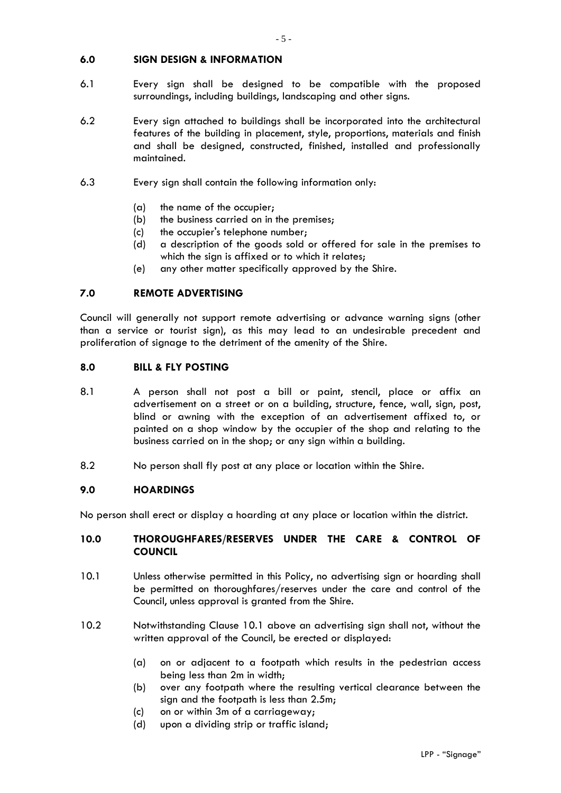#### **6.0 SIGN DESIGN & INFORMATION**

- 6.1 Every sign shall be designed to be compatible with the proposed surroundings, including buildings, landscaping and other signs.
- 6.2 Every sign attached to buildings shall be incorporated into the architectural features of the building in placement, style, proportions, materials and finish and shall be designed, constructed, finished, installed and professionally maintained.
- 6.3 Every sign shall contain the following information only:
	- (a) the name of the occupier;
	- (b) the business carried on in the premises;
	- (c) the occupier's telephone number;
	- (d) a description of the goods sold or offered for sale in the premises to which the sign is affixed or to which it relates;
	- (e) any other matter specifically approved by the Shire.

### **7.0 REMOTE ADVERTISING**

Council will generally not support remote advertising or advance warning signs (other than a service or tourist sign), as this may lead to an undesirable precedent and proliferation of signage to the detriment of the amenity of the Shire.

#### **8.0 BILL & FLY POSTING**

- 8.1 A person shall not post a bill or paint, stencil, place or affix an advertisement on a street or on a building, structure, fence, wall, sign, post, blind or awning with the exception of an advertisement affixed to, or painted on a shop window by the occupier of the shop and relating to the business carried on in the shop; or any sign within a building.
- 8.2 No person shall fly post at any place or location within the Shire.

#### **9.0 HOARDINGS**

No person shall erect or display a hoarding at any place or location within the district.

#### **10.0 THOROUGHFARES/RESERVES UNDER THE CARE & CONTROL OF COUNCIL**

- 10.1 Unless otherwise permitted in this Policy, no advertising sign or hoarding shall be permitted on thoroughfares/reserves under the care and control of the Council, unless approval is granted from the Shire.
- 10.2 Notwithstanding Clause 10.1 above an advertising sign shall not, without the written approval of the Council, be erected or displayed:
	- (a) on or adjacent to a footpath which results in the pedestrian access being less than 2m in width;
	- (b) over any footpath where the resulting vertical clearance between the sign and the footpath is less than 2.5m;
	- (c) on or within 3m of a carriageway;
	- (d) upon a dividing strip or traffic island;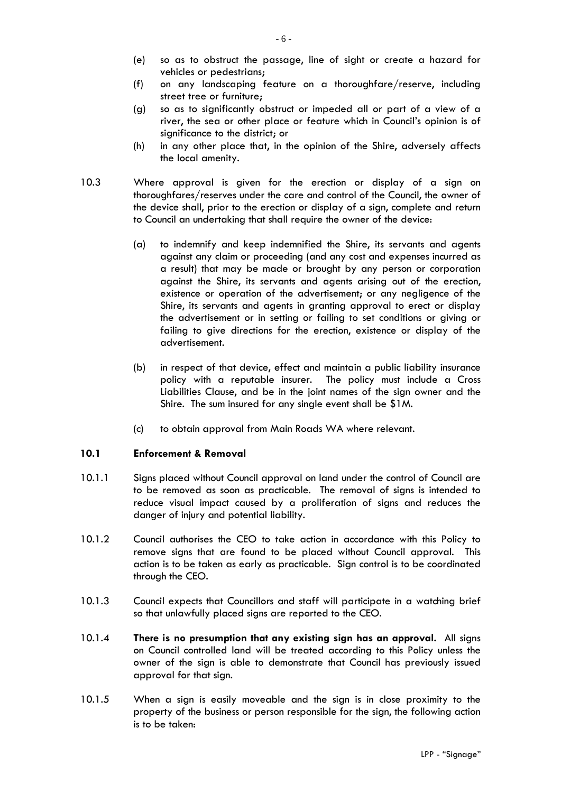- (e) so as to obstruct the passage, line of sight or create a hazard for vehicles or pedestrians;
- (f) on any landscaping feature on a thoroughfare/reserve, including street tree or furniture;
- (g) so as to significantly obstruct or impeded all or part of a view of a river, the sea or other place or feature which in Council's opinion is of significance to the district; or
- (h) in any other place that, in the opinion of the Shire, adversely affects the local amenity.
- 10.3 Where approval is given for the erection or display of a sign on thoroughfares/reserves under the care and control of the Council, the owner of the device shall, prior to the erection or display of a sign, complete and return to Council an undertaking that shall require the owner of the device:
	- (a) to indemnify and keep indemnified the Shire, its servants and agents against any claim or proceeding (and any cost and expenses incurred as a result) that may be made or brought by any person or corporation against the Shire, its servants and agents arising out of the erection, existence or operation of the advertisement; or any negligence of the Shire, its servants and agents in granting approval to erect or display the advertisement or in setting or failing to set conditions or giving or failing to give directions for the erection, existence or display of the advertisement.
	- (b) in respect of that device, effect and maintain a public liability insurance policy with a reputable insurer. The policy must include a Cross Liabilities Clause, and be in the joint names of the sign owner and the Shire. The sum insured for any single event shall be \$1M.
	- (c) to obtain approval from Main Roads WA where relevant.

## **10.1 Enforcement & Removal**

- 10.1.1 Signs placed without Council approval on land under the control of Council are to be removed as soon as practicable. The removal of signs is intended to reduce visual impact caused by a proliferation of signs and reduces the danger of injury and potential liability.
- 10.1.2 Council authorises the CEO to take action in accordance with this Policy to remove signs that are found to be placed without Council approval. This action is to be taken as early as practicable. Sign control is to be coordinated through the CEO.
- 10.1.3 Council expects that Councillors and staff will participate in a watching brief so that unlawfully placed signs are reported to the CEO.
- 10.1.4 **There is no presumption that any existing sign has an approval.** All signs on Council controlled land will be treated according to this Policy unless the owner of the sign is able to demonstrate that Council has previously issued approval for that sign.
- 10.1.5 When a sign is easily moveable and the sign is in close proximity to the property of the business or person responsible for the sign, the following action is to be taken: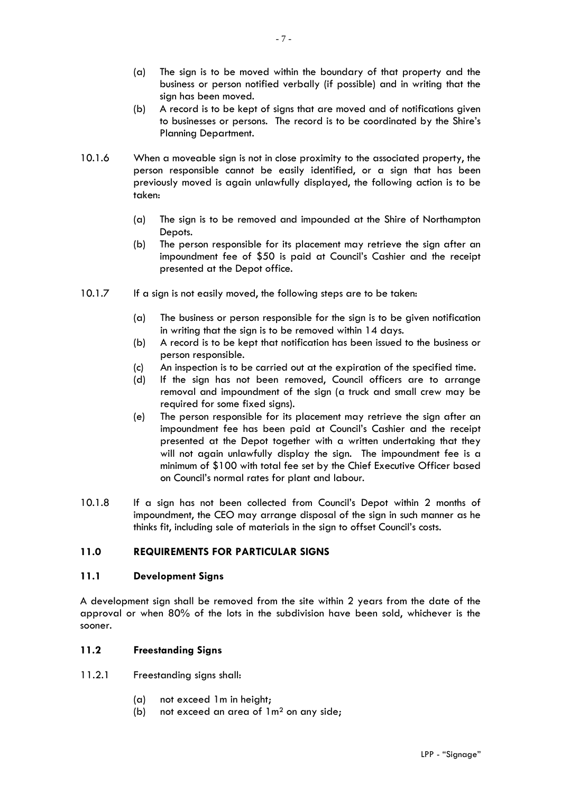- (a) The sign is to be moved within the boundary of that property and the business or person notified verbally (if possible) and in writing that the sign has been moved.
- (b) A record is to be kept of signs that are moved and of notifications given to businesses or persons. The record is to be coordinated by the Shire's Planning Department.
- 10.1.6 When a moveable sign is not in close proximity to the associated property, the person responsible cannot be easily identified, or a sign that has been previously moved is again unlawfully displayed, the following action is to be taken:
	- (a) The sign is to be removed and impounded at the Shire of Northampton Depots.
	- (b) The person responsible for its placement may retrieve the sign after an impoundment fee of \$50 is paid at Council's Cashier and the receipt presented at the Depot office.
- 10.1.7 If a sign is not easily moved, the following steps are to be taken:
	- (a) The business or person responsible for the sign is to be given notification in writing that the sign is to be removed within 14 days.
	- (b) A record is to be kept that notification has been issued to the business or person responsible.
	- (c) An inspection is to be carried out at the expiration of the specified time.
	- (d) If the sign has not been removed, Council officers are to arrange removal and impoundment of the sign (a truck and small crew may be required for some fixed signs).
	- (e) The person responsible for its placement may retrieve the sign after an impoundment fee has been paid at Council's Cashier and the receipt presented at the Depot together with a written undertaking that they will not again unlawfully display the sign. The impoundment fee is a minimum of \$100 with total fee set by the Chief Executive Officer based on Council's normal rates for plant and labour.
- 10.1.8 If a sign has not been collected from Council's Depot within 2 months of impoundment, the CEO may arrange disposal of the sign in such manner as he thinks fit, including sale of materials in the sign to offset Council's costs.

## **11.0 REQUIREMENTS FOR PARTICULAR SIGNS**

#### **11.1 Development Signs**

A development sign shall be removed from the site within 2 years from the date of the approval or when 80% of the lots in the subdivision have been sold, whichever is the sooner.

## **11.2 Freestanding Signs**

- 11.2.1 Freestanding signs shall:
	- (a) not exceed 1m in height;
	- (b) not exceed an area of 1m² on any side;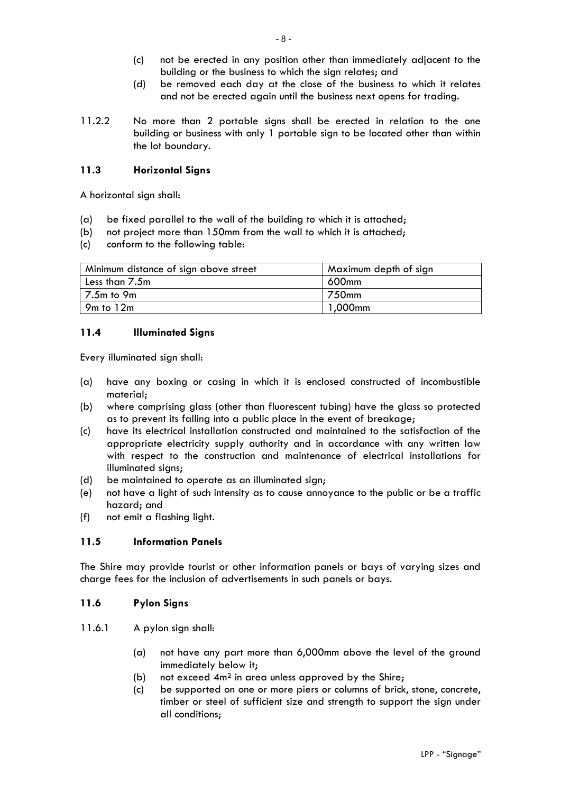- (c) not be erected in any position other than immediately adjacent to the building or the business to which the sign relates; and
- (d) be removed each day at the close of the business to which it relates and not be erected again until the business next opens for trading.
- 11.2.2 No more than 2 portable signs shall be erected in relation to the one building or business with only 1 portable sign to be located other than within the lot boundary.

## **11.3 Horizontal Signs**

A horizontal sign shall:

- (a) be fixed parallel to the wall of the building to which it is attached;
- (b) not project more than 150mm from the wall to which it is attached;
- (c) conform to the following table:

| Minimum distance of sign above street | Maximum depth of sign |
|---------------------------------------|-----------------------|
| Less than 7.5m                        | 600mm                 |
| 7.5m to 9m                            | 750mm                 |
| $9m$ to $12m$                         | 1,000mm               |

#### **11.4 Illuminated Signs**

Every illuminated sign shall:

- (a) have any boxing or casing in which it is enclosed constructed of incombustible material;
- (b) where comprising glass (other than fluorescent tubing) have the glass so protected as to prevent its falling into a public place in the event of breakage;
- (c) have its electrical installation constructed and maintained to the satisfaction of the appropriate electricity supply authority and in accordance with any written law with respect to the construction and maintenance of electrical installations for illuminated signs;
- (d) be maintained to operate as an illuminated sign;
- (e) not have a light of such intensity as to cause annoyance to the public or be a traffic hazard; and
- (f) not emit a flashing light.

## **11.5 Information Panels**

The Shire may provide tourist or other information panels or bays of varying sizes and charge fees for the inclusion of advertisements in such panels or bays.

#### **11.6 Pylon Signs**

- 11.6.1 A pylon sign shall:
	- (a) not have any part more than 6,000mm above the level of the ground immediately below it;
	- (b) not exceed 4m² in area unless approved by the Shire;
	- (c) be supported on one or more piers or columns of brick, stone, concrete, timber or steel of sufficient size and strength to support the sign under all conditions;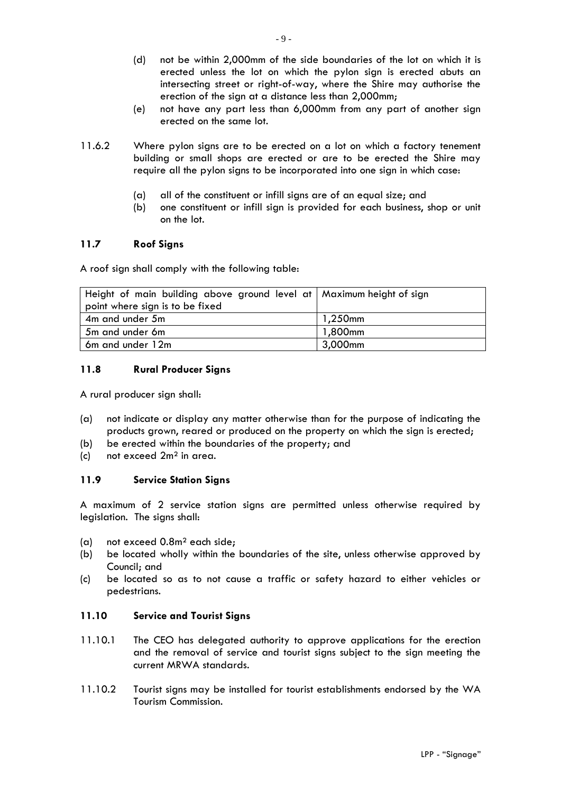- (d) not be within 2,000mm of the side boundaries of the lot on which it is erected unless the lot on which the pylon sign is erected abuts an intersecting street or right-of-way, where the Shire may authorise the erection of the sign at a distance less than 2,000mm;
- (e) not have any part less than 6,000mm from any part of another sign erected on the same lot.
- 11.6.2 Where pylon signs are to be erected on a lot on which a factory tenement building or small shops are erected or are to be erected the Shire may require all the pylon signs to be incorporated into one sign in which case:
	- (a) all of the constituent or infill signs are of an equal size; and
	- (b) one constituent or infill sign is provided for each business, shop or unit on the lot.

### **11.7 Roof Signs**

A roof sign shall comply with the following table:

| Height of main building above ground level at   Maximum height of sign |            |
|------------------------------------------------------------------------|------------|
| point where sign is to be fixed                                        |            |
| 4m and under 5m                                                        | $1,250$ mm |
| 5m and under 6m                                                        | 1,800mm    |
| 6m and under 12m                                                       | 3,000mm    |

### **11.8 Rural Producer Signs**

A rural producer sign shall:

- (a) not indicate or display any matter otherwise than for the purpose of indicating the products grown, reared or produced on the property on which the sign is erected;
- (b) be erected within the boundaries of the property; and
- (c) not exceed 2m² in area.

# **11.9 Service Station Signs**

A maximum of 2 service station signs are permitted unless otherwise required by legislation. The signs shall:

- (a) not exceed 0.8m² each side;
- (b) be located wholly within the boundaries of the site, unless otherwise approved by Council; and
- (c) be located so as to not cause a traffic or safety hazard to either vehicles or pedestrians.

#### **11.10 Service and Tourist Signs**

- 11.10.1 The CEO has delegated authority to approve applications for the erection and the removal of service and tourist signs subject to the sign meeting the current MRWA standards.
- 11.10.2 Tourist signs may be installed for tourist establishments endorsed by the WA Tourism Commission.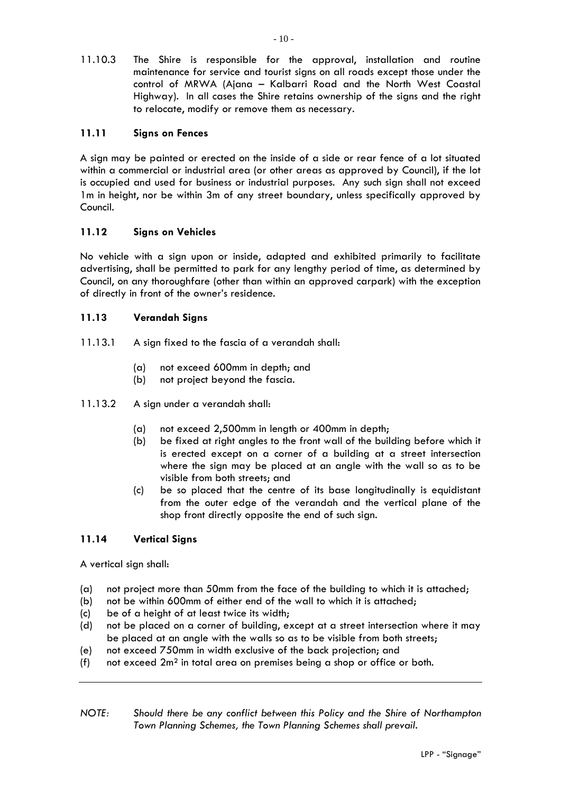11.10.3 The Shire is responsible for the approval, installation and routine maintenance for service and tourist signs on all roads except those under the control of MRWA (Ajana – Kalbarri Road and the North West Coastal Highway). In all cases the Shire retains ownership of the signs and the right to relocate, modify or remove them as necessary.

# **11.11 Signs on Fences**

A sign may be painted or erected on the inside of a side or rear fence of a lot situated within a commercial or industrial area (or other areas as approved by Council), if the lot is occupied and used for business or industrial purposes. Any such sign shall not exceed 1m in height, nor be within 3m of any street boundary, unless specifically approved by Council.

## **11.12 Signs on Vehicles**

No vehicle with a sign upon or inside, adapted and exhibited primarily to facilitate advertising, shall be permitted to park for any lengthy period of time, as determined by Council, on any thoroughfare (other than within an approved carpark) with the exception of directly in front of the owner's residence.

## **11.13 Verandah Signs**

- 11.13.1 A sign fixed to the fascia of a verandah shall:
	- (a) not exceed 600mm in depth; and
	- (b) not project beyond the fascia.
- 11.13.2 A sign under a verandah shall:
	- (a) not exceed 2,500mm in length or 400mm in depth;
	- (b) be fixed at right angles to the front wall of the building before which it is erected except on a corner of a building at a street intersection where the sign may be placed at an angle with the wall so as to be visible from both streets; and
	- (c) be so placed that the centre of its base longitudinally is equidistant from the outer edge of the verandah and the vertical plane of the shop front directly opposite the end of such sign.

## **11.14 Vertical Signs**

A vertical sign shall:

- (a) not project more than 50mm from the face of the building to which it is attached;
- (b) not be within 600mm of either end of the wall to which it is attached;
- (c) be of a height of at least twice its width;
- (d) not be placed on a corner of building, except at a street intersection where it may be placed at an angle with the walls so as to be visible from both streets;
- (e) not exceed 750mm in width exclusive of the back projection; and
- (f) not exceed 2m² in total area on premises being a shop or office or both.
- *NOTE: Should there be any conflict between this Policy and the Shire of Northampton Town Planning Schemes, the Town Planning Schemes shall prevail.*